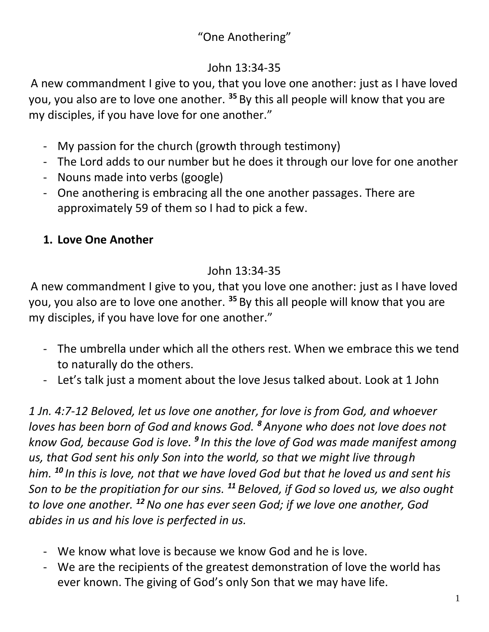# "One Anothering"

#### John 13:34-35

A new commandment I give to you, that you love one another: just as I have loved you, you also are to love one another. **<sup>35</sup>** By this all people will know that you are my disciples, if you have love for one another."

- My passion for the church (growth through testimony)
- The Lord adds to our number but he does it through our love for one another
- Nouns made into verbs (google)
- One anothering is embracing all the one another passages. There are approximately 59 of them so I had to pick a few.

#### **1. Love One Another**

### John 13:34-35

A new commandment I give to you, that you love one another: just as I have loved you, you also are to love one another. **<sup>35</sup>** By this all people will know that you are my disciples, if you have love for one another."

- The umbrella under which all the others rest. When we embrace this we tend to naturally do the others.
- Let's talk just a moment about the love Jesus talked about. Look at 1 John

*1 Jn. 4:7-12 Beloved, let us love one another, for love is from God, and whoever loves has been born of God and knows God. <sup>8</sup> Anyone who does not love does not know God, because God is love. <sup>9</sup> In this the love of God was made manifest among us, that God sent his only Son into the world, so that we might live through him. <sup>10</sup> In this is love, not that we have loved God but that he loved us and sent his Son to be the propitiation for our sins. <sup>11</sup> Beloved, if God so loved us, we also ought to love one another. <sup>12</sup>No one has ever seen God; if we love one another, God abides in us and his love is perfected in us.*

- We know what love is because we know God and he is love.
- We are the recipients of the greatest demonstration of love the world has ever known. The giving of God's only Son that we may have life.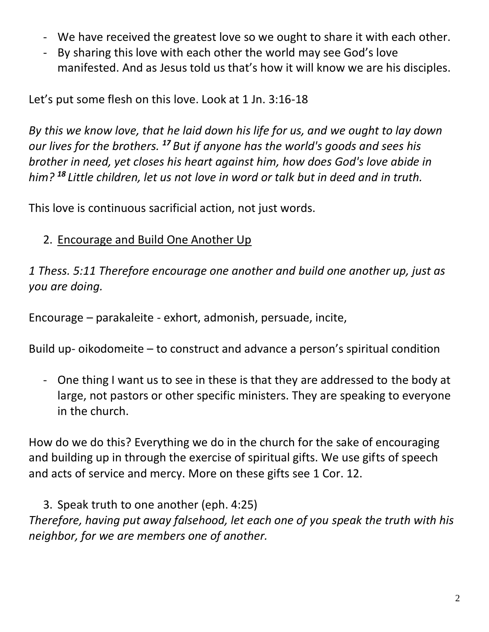- We have received the greatest love so we ought to share it with each other.
- By sharing this love with each other the world may see God's love manifested. And as Jesus told us that's how it will know we are his disciples.

Let's put some flesh on this love. Look at 1 Jn. 3:16-18

*By this we know love, that he laid down his life for us, and we ought to lay down our lives for the brothers. <sup>17</sup> But if anyone has the world's goods and sees his brother in need, yet closes his heart against him, how does God's love abide in him? <sup>18</sup> Little children, let us not love in word or talk but in deed and in truth.*

This love is continuous sacrificial action, not just words.

#### 2. Encourage and Build One Another Up

*1 Thess. 5:11 Therefore encourage one another and build one another up, just as you are doing.*

Encourage – parakaleite - exhort, admonish, persuade, incite,

Build up- oikodomeite – to construct and advance a person's spiritual condition

- One thing I want us to see in these is that they are addressed to the body at large, not pastors or other specific ministers. They are speaking to everyone in the church.

How do we do this? Everything we do in the church for the sake of encouraging and building up in through the exercise of spiritual gifts. We use gifts of speech and acts of service and mercy. More on these gifts see 1 Cor. 12.

3. Speak truth to one another (eph. 4:25)

*Therefore, having put away falsehood, let each one of you speak the truth with his neighbor, for we are members one of another.*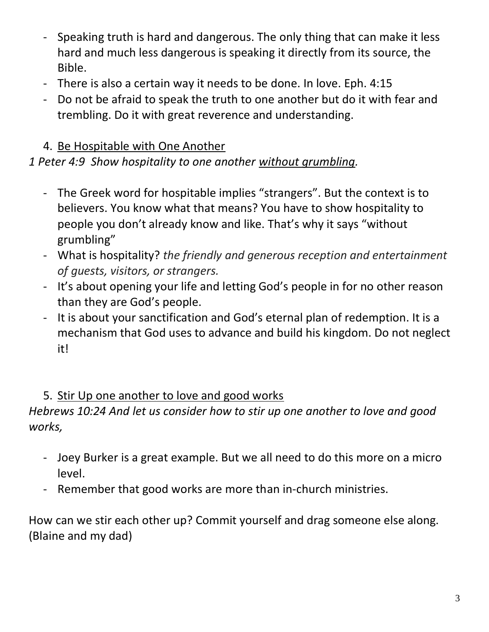- Speaking truth is hard and dangerous. The only thing that can make it less hard and much less dangerous is speaking it directly from its source, the Bible.
- There is also a certain way it needs to be done. In love. Eph. 4:15
- Do not be afraid to speak the truth to one another but do it with fear and trembling. Do it with great reverence and understanding.

### 4. Be Hospitable with One Another

# *1 Peter 4:9 Show hospitality to one another without grumbling.*

- The Greek word for hospitable implies "strangers". But the context is to believers. You know what that means? You have to show hospitality to people you don't already know and like. That's why it says "without grumbling"
- What is hospitality? *the friendly and generous reception and entertainment of guests, visitors, or strangers.*
- It's about opening your life and letting God's people in for no other reason than they are God's people.
- It is about your sanctification and God's eternal plan of redemption. It is a mechanism that God uses to advance and build his kingdom. Do not neglect it!

#### 5. Stir Up one another to love and good works

### *Hebrews 10:24 And let us consider how to stir up one another to love and good works,*

- Joey Burker is a great example. But we all need to do this more on a micro level.
- Remember that good works are more than in-church ministries.

How can we stir each other up? Commit yourself and drag someone else along. (Blaine and my dad)